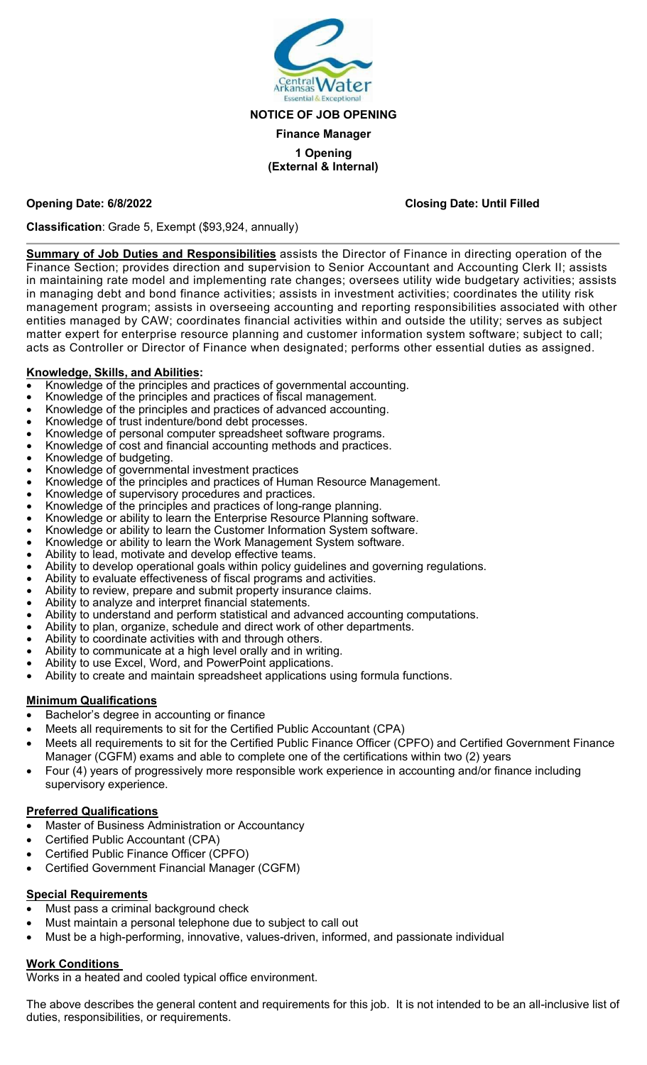

#### **NOTICE OF JOB OPENING**

#### **Finance Manager**

#### **1 Opening (External & Internal)**

#### **Opening Date: 6/8/2022 Closing Date: Until Filled**

**Classification**: Grade 5, Exempt (\$93,924, annually)

**Summary of Job Duties and Responsibilities** assists the Director of Finance in directing operation of the Finance Section; provides direction and supervision to Senior Accountant and Accounting Clerk II; assists in maintaining rate model and implementing rate changes; oversees utility wide budgetary activities; assists in managing debt and bond finance activities; assists in investment activities; coordinates the utility risk management program; assists in overseeing accounting and reporting responsibilities associated with other entities managed by CAW; coordinates financial activities within and outside the utility; serves as subject matter expert for enterprise resource planning and customer information system software; subject to call; acts as Controller or Director of Finance when designated; performs other essential duties as assigned.

#### **Knowledge, Skills, and Abilities:**

- Knowledge of the principles and practices of governmental accounting.
- Knowledge of the principles and practices of fiscal management.
- Knowledge of the principles and practices of advanced accounting.
- Knowledge of trust indenture/bond debt processes.
- Knowledge of personal computer spreadsheet software programs.
- Knowledge of cost and financial accounting methods and practices.
- Knowledge of budgeting.
- Knowledge of governmental investment practices
- Knowledge of the principles and practices of Human Resource Management.
- Knowledge of supervisory procedures and practices.
- Knowledge of the principles and practices of long-range planning.
- Knowledge or ability to learn the Enterprise Resource Planning software.
- Knowledge or ability to learn the Customer Information System software.
- Knowledge or ability to learn the Work Management System software.
- Ability to lead, motivate and develop effective teams.
- Ability to develop operational goals within policy guidelines and governing regulations.
- Ability to evaluate effectiveness of fiscal programs and activities.
- Ability to review, prepare and submit property insurance claims.
- Ability to analyze and interpret financial statements.
- Ability to understand and perform statistical and advanced accounting computations.
- Ability to plan, organize, schedule and direct work of other departments.
- Ability to coordinate activities with and through others.
- Ability to communicate at a high level orally and in writing.
- Ability to use Excel, Word, and PowerPoint applications.
- Ability to create and maintain spreadsheet applications using formula functions.

#### **Minimum Qualifications**

- Bachelor's degree in accounting or finance
- Meets all requirements to sit for the Certified Public Accountant (CPA)
- Meets all requirements to sit for the Certified Public Finance Officer (CPFO) and Certified Government Finance Manager (CGFM) exams and able to complete one of the certifications within two (2) years
- Four (4) years of progressively more responsible work experience in accounting and/or finance including supervisory experience.

### **Preferred Qualifications**

- Master of Business Administration or Accountancy
- Certified Public Accountant (CPA)
- Certified Public Finance Officer (CPFO)
- Certified Government Financial Manager (CGFM)

### **Special Requirements**

- Must pass a criminal background check
- Must maintain a personal telephone due to subject to call out
- Must be a high-performing, innovative, values-driven, informed, and passionate individual

#### **Work Conditions**

Works in a heated and cooled typical office environment.

The above describes the general content and requirements for this job. It is not intended to be an all-inclusive list of duties, responsibilities, or requirements.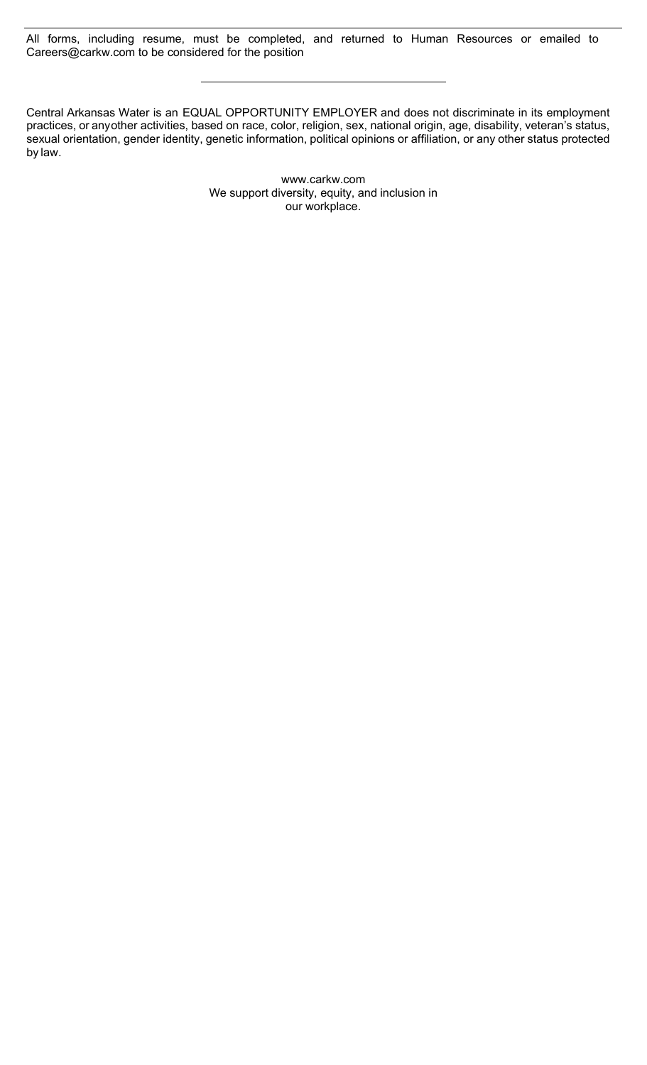All forms, including resume, must be completed, and returned to Human Resources or emailed to Careers@carkw.com to be considered for the position

Central Arkansas Water is an EQUAL OPPORTUNITY EMPLOYER and does not discriminate in its employment practices, or anyother activities, based on race, color, religion, sex, national origin, age, disability, veteran's status, sexual orientation, gender identity, genetic information, political opinions or affiliation, or any other status protected by law.

> [www.carkw.com](http://www.carkw.com/) We support diversity, equity, and inclusion in our workplace.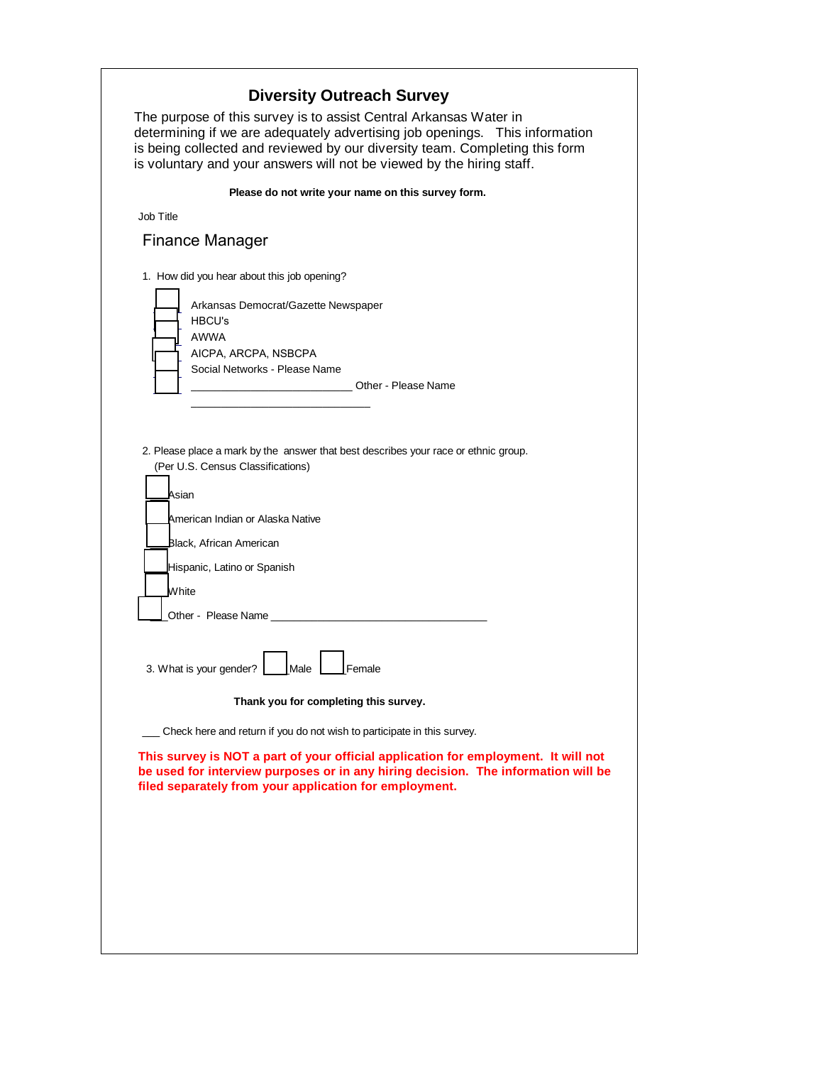|           | determining if we are adequately advertising job openings.  This information<br>is being collected and reviewed by our diversity team. Completing this form<br>is voluntary and your answers will not be viewed by the hiring staff. |
|-----------|--------------------------------------------------------------------------------------------------------------------------------------------------------------------------------------------------------------------------------------|
| Job Title | Please do not write your name on this survey form.                                                                                                                                                                                   |
|           | <b>Finance Manager</b>                                                                                                                                                                                                               |
|           |                                                                                                                                                                                                                                      |
|           | 1. How did you hear about this job opening?                                                                                                                                                                                          |
|           | Arkansas Democrat/Gazette Newspaper                                                                                                                                                                                                  |
|           | <b>HBCU's</b><br><b>AWWA</b>                                                                                                                                                                                                         |
|           | AICPA, ARCPA, NSBCPA                                                                                                                                                                                                                 |
|           | Social Networks - Please Name                                                                                                                                                                                                        |
|           | Other - Please Name                                                                                                                                                                                                                  |
|           |                                                                                                                                                                                                                                      |
|           | Asian<br>American Indian or Alaska Native<br>Black, African American<br>Hispanic, Latino or Spanish<br>White<br>Other - Please Name<br>3. What is your gender?<br>Male<br>Female<br>Thank you for completing this survey.            |
|           |                                                                                                                                                                                                                                      |
|           | Check here and return if you do not wish to participate in this survey.                                                                                                                                                              |
|           | This survey is NOT a part of your official application for employment. It will not<br>be used for interview purposes or in any hiring decision. The information will be<br>filed separately from your application for employment.    |
|           |                                                                                                                                                                                                                                      |
|           |                                                                                                                                                                                                                                      |
|           |                                                                                                                                                                                                                                      |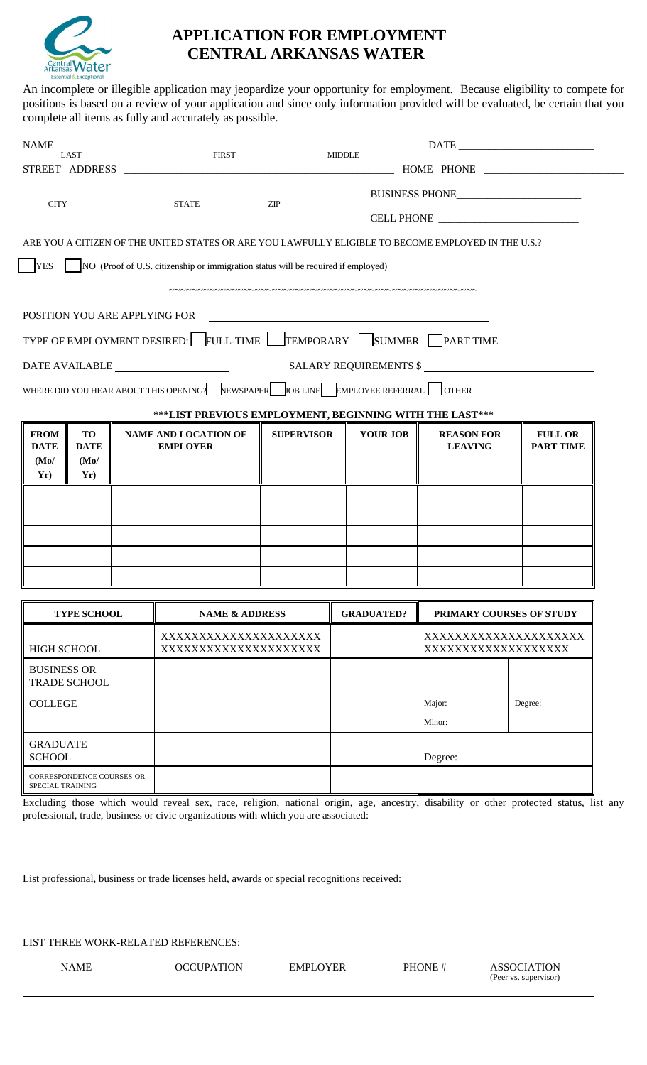

# **APPLICATION FOR EMPLOYMENT CENTRAL ARKANSAS WATER**

An incomplete or illegible application may jeopardize your opportunity for employment. Because eligibility to compete for positions is based on a review of your application and since only information provided will be evaluated, be certain that you complete all items as fully and accurately as possible.

| $NAME$ —                         |                           |                 |                                                                                                     |                   |                   |                                            |                  |
|----------------------------------|---------------------------|-----------------|-----------------------------------------------------------------------------------------------------|-------------------|-------------------|--------------------------------------------|------------------|
|                                  | LAST                      |                 | <b>FIRST</b>                                                                                        |                   | <b>MIDDLE</b>     |                                            |                  |
|                                  |                           |                 |                                                                                                     |                   |                   |                                            |                  |
| <b>CITY</b>                      |                           |                 | <b>STATE</b>                                                                                        | ZIP               |                   |                                            |                  |
|                                  |                           |                 |                                                                                                     |                   |                   |                                            |                  |
|                                  |                           |                 | ARE YOU A CITIZEN OF THE UNITED STATES OR ARE YOU LAWFULLY ELIGIBLE TO BECOME EMPLOYED IN THE U.S.? |                   |                   |                                            |                  |
| <b>YES</b>                       |                           |                 | NO (Proof of U.S. citizenship or immigration status will be required if employed)                   |                   |                   |                                            |                  |
|                                  |                           |                 |                                                                                                     |                   |                   |                                            |                  |
|                                  |                           |                 | POSITION YOU ARE APPLYING FOR                                                                       |                   |                   |                                            |                  |
|                                  |                           |                 | TYPE OF EMPLOYMENT DESIRED: FULL-TIME TEMPORARY SUMMER PART TIME                                    |                   |                   |                                            |                  |
|                                  |                           |                 |                                                                                                     |                   |                   |                                            |                  |
|                                  |                           |                 | DATE AVAILABLE                                                                                      |                   |                   | SALARY REQUIREMENTS \$                     |                  |
|                                  |                           |                 | WHERE DID YOU HEAR ABOUT THIS OPENING? NEWSPAPER JOB LINE EMPLOYEE REFERRAL OTHER                   |                   |                   |                                            |                  |
|                                  |                           |                 | ***LIST PREVIOUS EMPLOYMENT, BEGINNING WITH THE LAST***                                             |                   |                   |                                            |                  |
| <b>FROM</b>                      | <b>TO</b>                 |                 | <b>NAME AND LOCATION OF</b>                                                                         | <b>SUPERVISOR</b> | <b>YOUR JOB</b>   | <b>REASON FOR</b>                          | <b>FULL OR</b>   |
| <b>DATE</b><br>(Mo)              | <b>DATE</b><br>(Mo)       | <b>EMPLOYER</b> |                                                                                                     |                   |                   | <b>LEAVING</b>                             | <b>PART TIME</b> |
| Yr)                              | Yr)                       |                 |                                                                                                     |                   |                   |                                            |                  |
|                                  |                           |                 |                                                                                                     |                   |                   |                                            |                  |
|                                  |                           |                 |                                                                                                     |                   |                   |                                            |                  |
|                                  |                           |                 |                                                                                                     |                   |                   |                                            |                  |
|                                  |                           |                 |                                                                                                     |                   |                   |                                            |                  |
|                                  |                           |                 |                                                                                                     |                   |                   |                                            |                  |
|                                  |                           |                 |                                                                                                     |                   | <b>GRADUATED?</b> |                                            |                  |
| <b>TYPE SCHOOL</b>               |                           |                 | <b>NAME &amp; ADDRESS</b>                                                                           |                   |                   | PRIMARY COURSES OF STUDY                   |                  |
| <b>HIGH SCHOOL</b>               |                           |                 | XXXXXXXXXXXXXXXXXXXX<br>XXXXXXXXXXXXXXXXXXXXX                                                       |                   |                   | XXXXXXXXXXXXXXXXXXXX<br>XXXXXXXXXXXXXXXXXX |                  |
| <b>BUSINESS OR</b>               |                           |                 |                                                                                                     |                   |                   |                                            |                  |
|                                  | TRADE SCHOOL              |                 |                                                                                                     |                   |                   |                                            |                  |
| <b>COLLEGE</b>                   |                           |                 |                                                                                                     |                   |                   | Major:                                     | Degree:          |
|                                  |                           |                 |                                                                                                     |                   |                   | Minor:                                     |                  |
| <b>GRADUATE</b><br><b>SCHOOL</b> |                           |                 |                                                                                                     |                   |                   | Degree:                                    |                  |
|                                  | CORRESPONDENCE COURSES OR |                 |                                                                                                     |                   |                   |                                            |                  |
| SPECIAL TRAINING                 |                           |                 |                                                                                                     |                   |                   |                                            |                  |

Excluding those which would reveal sex, race, religion, national origin, age, ancestry, disability or other protected status, list any professional, trade, business or civic organizations with which you are associated:

List professional, business or trade licenses held, awards or special recognitions received:

LIST THREE WORK-RELATED REFERENCES:

NAME OCCUPATION EMPLOYER PHONE # ASSOCIATION

\_\_\_\_\_\_\_\_\_\_\_\_\_\_\_\_\_\_\_\_\_\_\_\_\_\_\_\_\_\_\_\_\_\_\_\_\_\_\_\_\_\_\_\_\_\_\_\_\_\_\_\_\_\_\_\_\_\_\_\_\_\_\_\_\_\_\_\_\_\_\_\_\_\_\_\_\_\_\_\_\_\_\_\_\_\_\_\_\_\_\_\_\_\_\_\_\_\_\_\_\_\_\_\_\_\_\_\_\_\_

(Peer vs. supervisor)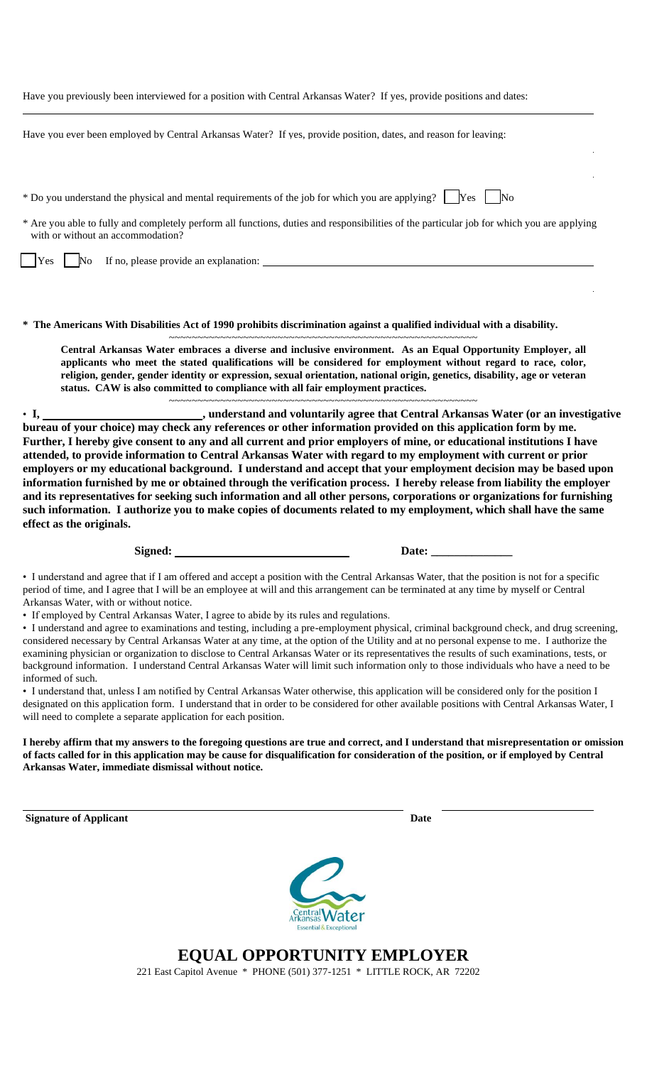|  |  |  | Have you previously been interviewed for a position with Central Arkansas Water? If yes, provide positions and dates: |  |
|--|--|--|-----------------------------------------------------------------------------------------------------------------------|--|
|  |  |  |                                                                                                                       |  |

Have you ever been employed by Central Arkansas Water? If yes, provide position, dates, and reason for leaving:

\* Do you understand the physical and mental requirements of the job for which you are applying?  $\Box$  Yes  $\Box$  No

\* Are you able to fully and completely perform all functions, duties and responsibilities of the particular job for which you are applying with or without an accommodation?

Yes No If no, please provide an explanation: No If no explanation:

**\* The Americans With Disabilities Act of 1990 prohibits discrimination against a qualified individual with a disability.**

~~~~~~~~~~~~~~~~~~~~~~~~~~~~~~~~~~~~~~~~~~~~~~~~~~~~~~ **Central Arkansas Water embraces a diverse and inclusive environment. As an Equal Opportunity Employer, all applicants who meet the stated qualifications will be considered for employment without regard to race, color, religion, gender, gender identity or expression, sexual orientation, national origin, genetics, disability, age or veteran status. CAW is also committed to compliance with all fair employment practices.**

~~~~~~~~~~~~~~~~~~~~~~~~~~~~~~~~~~~~~~~~~~~~~~~~~~~~~~

• **I, , understand and voluntarily agree that Central Arkansas Water (or an investigative bureau of your choice) may check any references or other information provided on this application form by me. Further, I hereby give consent to any and all current and prior employers of mine, or educational institutions I have attended, to provide information to Central Arkansas Water with regard to my employment with current or prior employers or my educational background. I understand and accept that your employment decision may be based upon information furnished by me or obtained through the verification process. I hereby release from liability the employer and its representatives for seeking such information and all other persons, corporations or organizations for furnishing such information. I authorize you to make copies of documents related to my employment, which shall have the same effect as the originals.**

Signed: Date:

• I understand and agree that if I am offered and accept a position with the Central Arkansas Water, that the position is not for a specific period of time, and I agree that I will be an employee at will and this arrangement can be terminated at any time by myself or Central Arkansas Water, with or without notice.

• If employed by Central Arkansas Water, I agree to abide by its rules and regulations.

• I understand and agree to examinations and testing, including a pre-employment physical, criminal background check, and drug screening, considered necessary by Central Arkansas Water at any time, at the option of the Utility and at no personal expense to me. I authorize the examining physician or organization to disclose to Central Arkansas Water or its representatives the results of such examinations, tests, or background information. I understand Central Arkansas Water will limit such information only to those individuals who have a need to be informed of such.

• I understand that, unless I am notified by Central Arkansas Water otherwise, this application will be considered only for the position I designated on this application form. I understand that in order to be considered for other available positions with Central Arkansas Water, I will need to complete a separate application for each position.

**I hereby affirm that my answers to the foregoing questions are true and correct, and I understand that misrepresentation or omission of facts called for in this application may be cause for disqualification for consideration of the position, or if employed by Central Arkansas Water, immediate dismissal without notice.**

**Signature of Applicant Date**